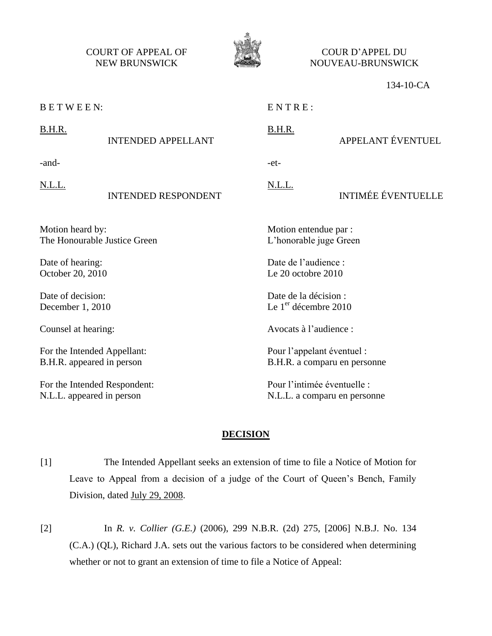COURT OF APPEAL OF NEW BRUNSWICK



COUR D'APPEL DU NOUVEAU-BRUNSWICK

#### 134-10-CA

B E T W E E N:

 $ENTRE:$ 

B.H.R.

-et-

# B.H.R. INTENDED APPELLANT

-and-

N.L.L.

### INTENDED RESPONDENT

Motion heard by: The Honourable Justice Green

Date of hearing: October 20, 2010

Date of decision: December 1, 2010

Counsel at hearing:

For the Intended Appellant: B.H.R. appeared in person

For the Intended Respondent: N.L.L. appeared in person

N.L.L.

## INTIMÉE ÉVENTUELLE

APPELANT ÉVENTUEL

Motion entendue par : L'honorable juge Green

Date de l'audience : Le 20 octobre 2010

Date de la décision : Le 1<sup>er</sup> décembre 2010

Avocats à l'audience :

Pour l'appelant éventuel : B.H.R. a comparu en personne

Pour l'intimée éventuelle : N.L.L. a comparu en personne

#### **DECISION**

[1] The Intended Appellant seeks an extension of time to file a Notice of Motion for Leave to Appeal from a decision of a judge of the Court of Queen's Bench, Family Division, dated July 29, 2008.

[2] In *R. v. Collier (G.E.)* (2006), 299 N.B.R. (2d) 275, [2006] N.B.J. No. 134 (C.A.) (QL), Richard J.A. sets out the various factors to be considered when determining whether or not to grant an extension of time to file a Notice of Appeal: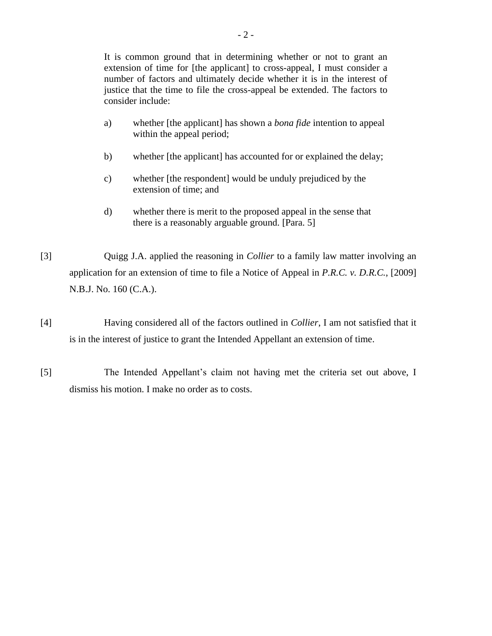It is common ground that in determining whether or not to grant an extension of time for [the applicant] to cross-appeal, I must consider a number of factors and ultimately decide whether it is in the interest of justice that the time to file the cross-appeal be extended. The factors to consider include:

- a) whether [the applicant] has shown a *bona fide* intention to appeal within the appeal period;
- b) whether [the applicant] has accounted for or explained the delay;
- c) whether [the respondent] would be unduly prejudiced by the extension of time; and
- d) whether there is merit to the proposed appeal in the sense that there is a reasonably arguable ground. [Para. 5]
- [3] Quigg J.A. applied the reasoning in *Collier* to a family law matter involving an application for an extension of time to file a Notice of Appeal in *P.R.C. v. D.R.C.*, [2009] N.B.J. No. 160 (C.A.).
- [4] Having considered all of the factors outlined in *Collier*, I am not satisfied that it is in the interest of justice to grant the Intended Appellant an extension of time.
- [5] The Intended Appellant's claim not having met the criteria set out above, I dismiss his motion. I make no order as to costs.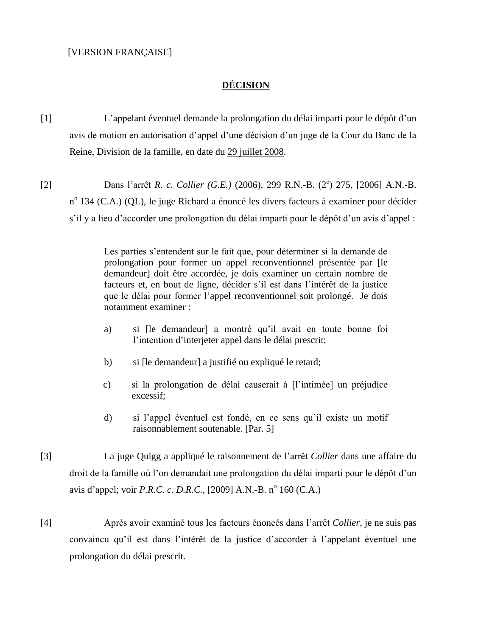## **DÉCISION**

[1] L'appelant éventuel demande la prolongation du délai imparti pour le dépôt d'un avis de motion en autorisation d'appel d'une décision d'un juge de la Cour du Banc de la Reine, Division de la famille, en date du 29 juillet 2008.

[2] Dans l'arrêt *R. c. Collier (G.E.)* (2006), 299 R.N.-B. (2<sup>e</sup>) 275, [2006] A.N.-B. n<sup>o</sup> 134 (C.A.) (QL), le juge Richard a énoncé les divers facteurs à examiner pour décider s'il y a lieu d'accorder une prolongation du délai imparti pour le dépôt d'un avis d'appel :

> Les parties s'entendent sur le fait que, pour déterminer si la demande de prolongation pour former un appel reconventionnel présentée par [le demandeur] doit être accordée, je dois examiner un certain nombre de facteurs et, en bout de ligne, décider s'il est dans l'intérêt de la justice que le délai pour former l'appel reconventionnel soit prolongé. Je dois notamment examiner :

- a) si [le demandeur] a montré qu'il avait en toute bonne foi l'intention d'interjeter appel dans le délai prescrit;
- b) si [le demandeur] a justifié ou expliqué le retard;
- c) si la prolongation de délai causerait à [l'intimée] un préjudice excessif;
- d) si l'appel éventuel est fondé, en ce sens qu'il existe un motif raisonnablement soutenable. [Par. 5]

[3] La juge Quigg a appliqué le raisonnement de l'arrêt *Collier* dans une affaire du droit de la famille où l'on demandait une prolongation du délai imparti pour le dépôt d'un avis d'appel; voir *P.R.C. c. D.R.C.*, [2009] A.N.-B. n<sup>o</sup> 160 (C.A.)

[4] Après avoir examiné tous les facteurs énoncés dans l'arrêt *Collier*, je ne suis pas convaincu qu'il est dans l'intérêt de la justice d'accorder à l'appelant éventuel une prolongation du délai prescrit.